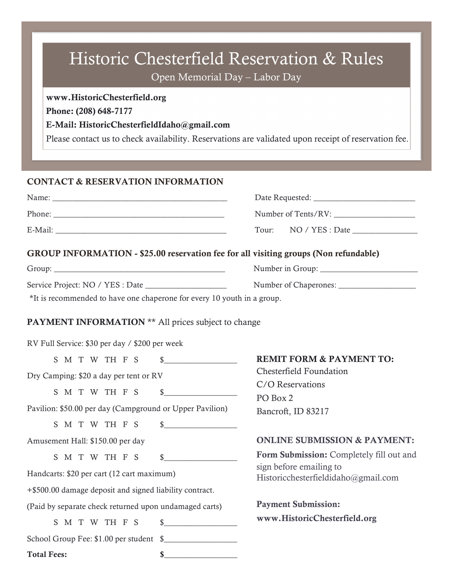# Historic Chesterfield Reservation & Rules

Open Memorial Day – Labor Day

## www.HistoricChesterfield.org

Phone: (208) 648-7177

## E-Mail: HistoricChesterfieldIdaho@gmail.com

Please contact us to check availability. Reservations are validated upon receipt of reservation fee.

## CONTACT & RESERVATION INFORMATION

| Name:   | Date Requested:          |
|---------|--------------------------|
| Phone:  | Number of Tents/RV:      |
| E-Mail: | NO / YES : Date<br>Tour: |

## GROUP INFORMATION - \$25.00 reservation fee for all visiting groups (Non refundable)

| Group:                           | Number in Group:      |  |  |
|----------------------------------|-----------------------|--|--|
| Service Project: NO / YES : Date | Number of Chaperones: |  |  |

\*It is recommended to have one chaperone for every 10 youth in a group.

## PAYMENT INFORMATION \*\* All prices subject to change

RV Full Service: \$30 per day / \$200 per week

|                                                          |  |  |  |  |  |             | S M T W TH F S  | $\frac{1}{2}$     | <b>REM</b>      |
|----------------------------------------------------------|--|--|--|--|--|-------------|-----------------|-------------------|-----------------|
| Dry Camping: \$20 a day per tent or RV                   |  |  |  |  |  | Ches        |                 |                   |                 |
|                                                          |  |  |  |  |  |             |                 |                   | C/O             |
|                                                          |  |  |  |  |  |             |                 | S M T W TH F S \$ | PO <sub>B</sub> |
| Pavilion: \$50.00 per day (Campground or Upper Pavilion) |  |  |  |  |  | <b>Banc</b> |                 |                   |                 |
|                                                          |  |  |  |  |  |             |                 | S M T W TH F S \$ |                 |
| Amusement Hall: \$150.00 per day                         |  |  |  |  |  | ONL         |                 |                   |                 |
|                                                          |  |  |  |  |  |             |                 | S M T W TH F S \$ | Form            |
| Handcarts: \$20 per cart (12 cart maximum)               |  |  |  |  |  |             | sign b<br>Histo |                   |                 |
| +\$500.00 damage deposit and signed liability contract.  |  |  |  |  |  |             |                 |                   |                 |
| (Paid by separate check returned upon undamaged carts)   |  |  |  |  |  |             | Payn            |                   |                 |
|                                                          |  |  |  |  |  |             |                 | S M T W TH F S \$ | <b>WWW</b>      |
| School Group Fee: \$1.00 per student \$                  |  |  |  |  |  |             |                 |                   |                 |
| <b>Total Fees:</b>                                       |  |  |  |  |  |             |                 |                   |                 |

## **IT FORM & PAYMENT TO:** terfield Foundation

**Reservations**  $\log 2$ roft, ID 83217

## INE SUBMISSION & PAYMENT:

**Submission:** Completely fill out and before emailing to Historicchesterfieldidaho@gmail.com

ent Submission: v.HistoricChesterfield.org